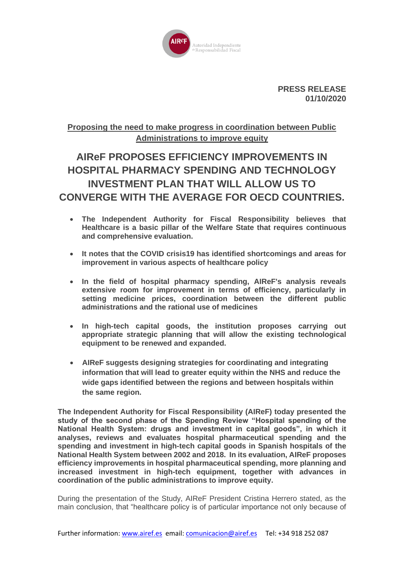

**PRESS RELEASE 01/10/2020**

## **Proposing the need to make progress in coordination between Public Administrations to improve equity**

# **AIReF PROPOSES EFFICIENCY IMPROVEMENTS IN HOSPITAL PHARMACY SPENDING AND TECHNOLOGY INVESTMENT PLAN THAT WILL ALLOW US TO CONVERGE WITH THE AVERAGE FOR OECD COUNTRIES.**

- **The Independent Authority for Fiscal Responsibility believes that Healthcare is a basic pillar of the Welfare State that requires continuous and comprehensive evaluation.**
- **It notes that the COVID crisis19 has identified shortcomings and areas for improvement in various aspects of healthcare policy**
- **In the field of hospital pharmacy spending, AIReF's analysis reveals extensive room for improvement in terms of efficiency, particularly in setting medicine prices, coordination between the different public administrations and the rational use of medicines**
- **In high-tech capital goods, the institution proposes carrying out appropriate strategic planning that will allow the existing technological equipment to be renewed and expanded.**
- **AIReF suggests designing strategies for coordinating and integrating information that will lead to greater equity within the NHS and reduce the wide gaps identified between the regions and between hospitals within the same region.**

**The Independent Authority for Fiscal Responsibility (AIReF) today presented the study of the second phase of the Spending Review "Hospital spending of the National Health System: drugs and investment in capital goods", in which it analyses, reviews and evaluates hospital pharmaceutical spending and the spending and investment in high-tech capital goods in Spanish hospitals of the National Health System between 2002 and 2018. In its evaluation, AIReF proposes efficiency improvements in hospital pharmaceutical spending, more planning and increased investment in high-tech equipment, together with advances in coordination of the public administrations to improve equity.** 

During the presentation of the Study, AIReF President Cristina Herrero stated, as the main conclusion, that "healthcare policy is of particular importance not only because of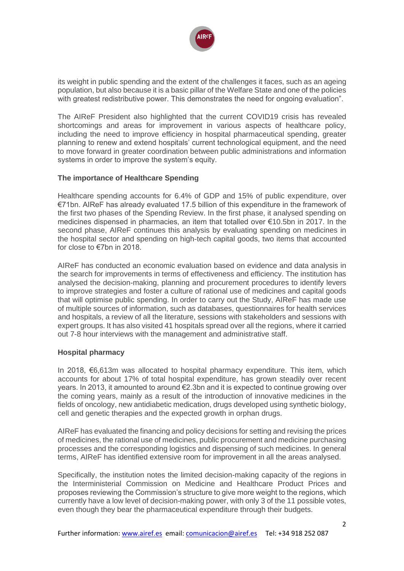

its weight in public spending and the extent of the challenges it faces, such as an ageing population, but also because it is a basic pillar of the Welfare State and one of the policies with greatest redistributive power. This demonstrates the need for ongoing evaluation".

The AIReF President also highlighted that the current COVID19 crisis has revealed shortcomings and areas for improvement in various aspects of healthcare policy, including the need to improve efficiency in hospital pharmaceutical spending, greater planning to renew and extend hospitals' current technological equipment, and the need to move forward in greater coordination between public administrations and information systems in order to improve the system's equity.

### **The importance of Healthcare Spending**

Healthcare spending accounts for 6.4% of GDP and 15% of public expenditure, over €71bn. AIReF has already evaluated 17.5 billion of this expenditure in the framework of the first two phases of the Spending Review. In the first phase, it analysed spending on medicines dispensed in pharmacies, an item that totalled over €10.5bn in 2017. In the second phase, AIReF continues this analysis by evaluating spending on medicines in the hospital sector and spending on high-tech capital goods, two items that accounted for close to €7bn in 2018.

AIReF has conducted an economic evaluation based on evidence and data analysis in the search for improvements in terms of effectiveness and efficiency. The institution has analysed the decision-making, planning and procurement procedures to identify levers to improve strategies and foster a culture of rational use of medicines and capital goods that will optimise public spending. In order to carry out the Study, AIReF has made use of multiple sources of information, such as databases, questionnaires for health services and hospitals, a review of all the literature, sessions with stakeholders and sessions with expert groups. It has also visited 41 hospitals spread over all the regions, where it carried out 7-8 hour interviews with the management and administrative staff.

#### **Hospital pharmacy**

In 2018, €6,613m was allocated to hospital pharmacy expenditure. This item, which accounts for about 17% of total hospital expenditure, has grown steadily over recent years. In 2013, it amounted to around €2.3bn and it is expected to continue growing over the coming years, mainly as a result of the introduction of innovative medicines in the fields of oncology, new antidiabetic medication, drugs developed using synthetic biology, cell and genetic therapies and the expected growth in orphan drugs.

AIReF has evaluated the financing and policy decisions for setting and revising the prices of medicines, the rational use of medicines, public procurement and medicine purchasing processes and the corresponding logistics and dispensing of such medicines. In general terms, AIReF has identified extensive room for improvement in all the areas analysed.

Specifically, the institution notes the limited decision-making capacity of the regions in the Interministerial Commission on Medicine and Healthcare Product Prices and proposes reviewing the Commission's structure to give more weight to the regions, which currently have a low level of decision-making power, with only 3 of the 11 possible votes, even though they bear the pharmaceutical expenditure through their budgets.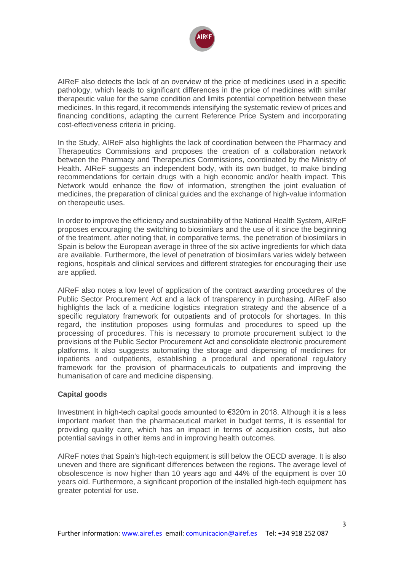

AIReF also detects the lack of an overview of the price of medicines used in a specific pathology, which leads to significant differences in the price of medicines with similar therapeutic value for the same condition and limits potential competition between these medicines. In this regard, it recommends intensifying the systematic review of prices and financing conditions, adapting the current Reference Price System and incorporating cost-effectiveness criteria in pricing.

In the Study, AIReF also highlights the lack of coordination between the Pharmacy and Therapeutics Commissions and proposes the creation of a collaboration network between the Pharmacy and Therapeutics Commissions, coordinated by the Ministry of Health. AIReF suggests an independent body, with its own budget, to make binding recommendations for certain drugs with a high economic and/or health impact. This Network would enhance the flow of information, strengthen the joint evaluation of medicines, the preparation of clinical guides and the exchange of high-value information on therapeutic uses.

In order to improve the efficiency and sustainability of the National Health System, AIReF proposes encouraging the switching to biosimilars and the use of it since the beginning of the treatment, after noting that, in comparative terms, the penetration of biosimilars in Spain is below the European average in three of the six active ingredients for which data are available. Furthermore, the level of penetration of biosimilars varies widely between regions, hospitals and clinical services and different strategies for encouraging their use are applied.

AIReF also notes a low level of application of the contract awarding procedures of the Public Sector Procurement Act and a lack of transparency in purchasing. AIReF also highlights the lack of a medicine logistics integration strategy and the absence of a specific regulatory framework for outpatients and of protocols for shortages. In this regard, the institution proposes using formulas and procedures to speed up the processing of procedures. This is necessary to promote procurement subject to the provisions of the Public Sector Procurement Act and consolidate electronic procurement platforms. It also suggests automating the storage and dispensing of medicines for inpatients and outpatients, establishing a procedural and operational regulatory framework for the provision of pharmaceuticals to outpatients and improving the humanisation of care and medicine dispensing.

### **Capital goods**

Investment in high-tech capital goods amounted to €320m in 2018. Although it is a less important market than the pharmaceutical market in budget terms, it is essential for providing quality care, which has an impact in terms of acquisition costs, but also potential savings in other items and in improving health outcomes.

AIReF notes that Spain's high-tech equipment is still below the OECD average. It is also uneven and there are significant differences between the regions. The average level of obsolescence is now higher than 10 years ago and 44% of the equipment is over 10 years old. Furthermore, a significant proportion of the installed high-tech equipment has greater potential for use.